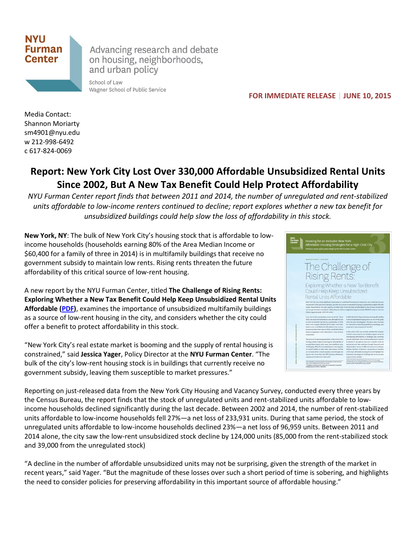

Advancing research and debate on housing, neighborhoods, and urban policy

School of Law Wagner School of Public Service

 **FOR IMMEDIATE RELEASE | JUNE 10, 2015**

Media Contact: Shannon Moriarty sm4901@nyu.edu w 212-998-6492 c 617-824-0069

## **Report: New York City Lost Over 330,000 Affordable Unsubsidized Rental Units Since 2002, But A New Tax Benefit Could Help Protect Affordability**

*NYU Furman Center report finds that between 2011 and 2014, the number of unregulated and rent-stabilized units affordable to low-income renters continued to decline; report explores whether a new tax benefit for unsubsidized buildings could help slow the loss of affordability in this stock.*

**New York, NY**: The bulk of New York City's housing stock that is affordable to lowincome households (households earning 80% of the Area Median Income or \$60,400 for a family of three in 2014) is in multifamily buildings that receive no government subsidy to maintain low rents. Rising rents threaten the future affordability of this critical source of low-rent housing.

A new report by the NYU Furman Center, titled **The Challenge of Rising Rents: Exploring Whether a New Tax Benefit Could Help Keep Unsubsidized Rental Units Affordable [\(PDF\)](http://furmancenter.org/files/NYUFurmanCenter_ChallengeofRisingRents_10JUN2015.pdf)**, examines the importance of unsubsidized multifamily buildings as a source of low-rent housing in the city, and considers whether the city could offer a benefit to protect affordability in this stock.

"New York City's real estate market is booming and the supply of rental housing is constrained," said **Jessica Yager**, Policy Director at the **NYU Furman Center**. "The bulk of the city's low-rent housing stock is in buildings that currently receive no government subsidy, leaving them susceptible to market pressures."



Reporting on just-released data from the New York City Housing and Vacancy Survey, conducted every three years by the Census Bureau, the report finds that the stock of unregulated units and rent-stabilized units affordable to lowincome households declined significantly during the last decade. Between 2002 and 2014, the number of rent-stabilized units affordable to low-income households fell 27%—a net loss of 233,931 units. During that same period, the stock of unregulated units affordable to low-income households declined 23%—a net loss of 96,959 units. Between 2011 and 2014 alone, the city saw the low-rent unsubsidized stock decline by 124,000 units (85,000 from the rent-stabilized stock and 39,000 from the unregulated stock)

"A decline in the number of affordable unsubsidized units may not be surprising, given the strength of the market in recent years," said Yager. "But the magnitude of these losses over such a short period of time is sobering, and highlights the need to consider policies for preserving affordability in this important source of affordable housing."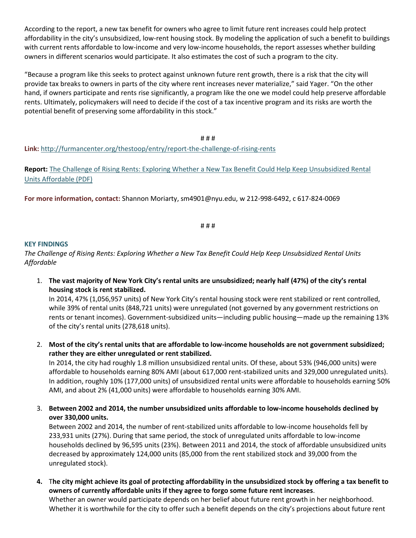According to the report, a new tax benefit for owners who agree to limit future rent increases could help protect affordability in the city's unsubsidized, low-rent housing stock. By modeling the application of such a benefit to buildings with current rents affordable to low-income and very low-income households, the report assesses whether building owners in different scenarios would participate. It also estimates the cost of such a program to the city.

"Because a program like this seeks to protect against unknown future rent growth, there is a risk that the city will provide tax breaks to owners in parts of the city where rent increases never materialize," said Yager. "On the other hand, if owners participate and rents rise significantly, a program like the one we model could help preserve affordable rents. Ultimately, policymakers will need to decide if the cost of a tax incentive program and its risks are worth the potential benefit of preserving some affordability in this stock."

# # # **Link:** <http://furmancenter.org/thestoop/entry/report-the-challenge-of-rising-rents>

**Report:** [The Challenge of Rising Rents: Exploring Whether a New Tax Benefit Could Help Keep Unsubsidized Rental](http://furmancenter.org/files/NYUFurmanCenter_ChallengeofRisingRents_10JUN2015.pdf)  [Units Affordable \(PDF\)](http://furmancenter.org/files/NYUFurmanCenter_ChallengeofRisingRents_10JUN2015.pdf)

**For more information, contact:** Shannon Moriarty, sm4901@nyu.edu, w 212-998-6492, c 617-824-0069

# # #

## **KEY FINDINGS**

*The Challenge of Rising Rents: Exploring Whether a New Tax Benefit Could Help Keep Unsubsidized Rental Units Affordable*

1. **The vast majority of New York City's rental units are unsubsidized; nearly half (47%) of the city's rental housing stock is rent stabilized.** 

In 2014, 47% (1,056,957 units) of New York City's rental housing stock were rent stabilized or rent controlled, while 39% of rental units (848,721 units) were unregulated (not governed by any government restrictions on rents or tenant incomes). Government-subsidized units—including public housing—made up the remaining 13% of the city's rental units (278,618 units).

2. **Most of the city's rental units that are affordable to low-income households are not government subsidized; rather they are either unregulated or rent stabilized.**

In 2014, the city had roughly 1.8 million unsubsidized rental units. Of these, about 53% (946,000 units) were affordable to households earning 80% AMI (about 617,000 rent-stabilized units and 329,000 unregulated units). In addition, roughly 10% (177,000 units) of unsubsidized rental units were affordable to households earning 50% AMI, and about 2% (41,000 units) were affordable to households earning 30% AMI.

3. **Between 2002 and 2014, the number unsubsidized units affordable to low-income households declined by over 330,000 units.**

Between 2002 and 2014, the number of rent-stabilized units affordable to low-income households fell by 233,931 units (27%). During that same period, the stock of unregulated units affordable to low-income households declined by 96,595 units (23%). Between 2011 and 2014, the stock of affordable unsubsidized units decreased by approximately 124,000 units (85,000 from the rent stabilized stock and 39,000 from the unregulated stock).

**4.** T**he city might achieve its goal of protecting affordability in the unsubsidized stock by offering a tax benefit to owners of currently affordable units if they agree to forgo some future rent increases**. Whether an owner would participate depends on her belief about future rent growth in her neighborhood.

Whether it is worthwhile for the city to offer such a benefit depends on the city's projections about future rent